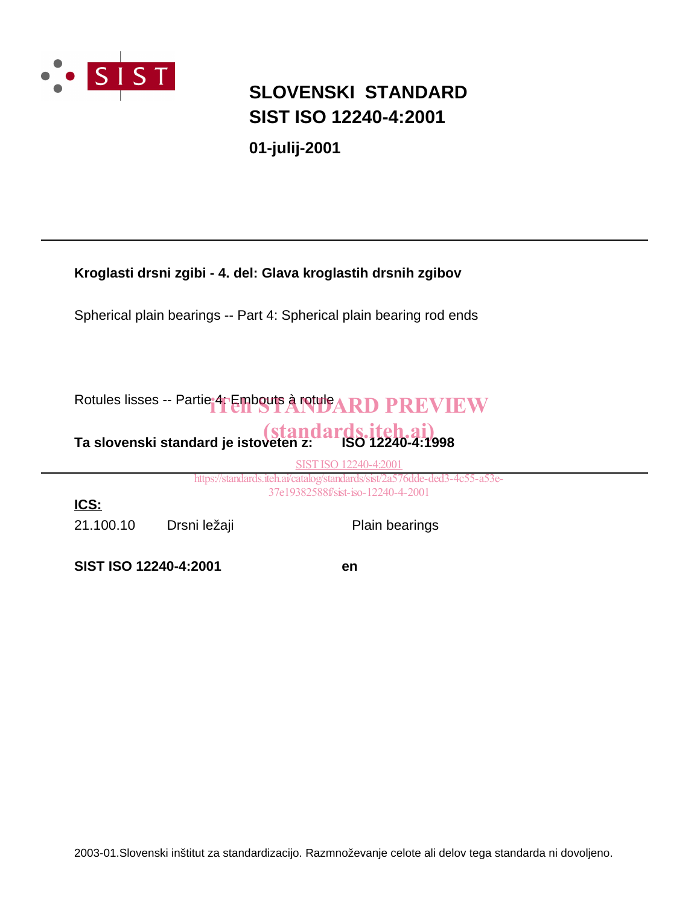

## **SIST ISO 12240-4:2001 SLOVENSKI STANDARD**

**01-julij-2001**

#### **Kroglasti drsni zgibi - 4. del: Glava kroglastih drsnih zgibov**

Spherical plain bearings -- Part 4: Spherical plain bearing rod ends

## Rotules lisses -- Partie 4: Embouts à rotule ARD PREVIEW

# <mark>(standards.iteh.ai)</mark><br>Ta slovenski standard je istoveten z: ISO 12240-4:1998

|           | SIST ISO 12240-4:2001                                                                                           |                |  |  |  |  |  |  |  |  |  |
|-----------|-----------------------------------------------------------------------------------------------------------------|----------------|--|--|--|--|--|--|--|--|--|
|           | https://standards.iteh.ai/catalog/standards/sist/2a576dde-ded3-4c55-a53e-<br>37e19382588f/sist-iso-12240-4-2001 |                |  |  |  |  |  |  |  |  |  |
| ICS:      |                                                                                                                 |                |  |  |  |  |  |  |  |  |  |
| 21.100.10 | Drsni ležaji                                                                                                    | Plain bearings |  |  |  |  |  |  |  |  |  |
|           |                                                                                                                 |                |  |  |  |  |  |  |  |  |  |

**SIST ISO 12240-4:2001 en**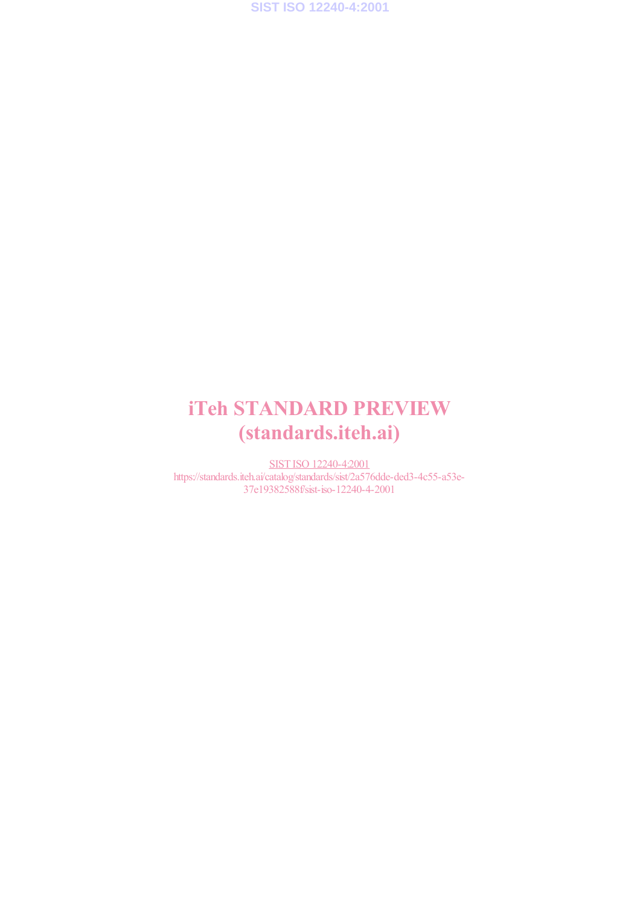

## iTeh STANDARD PREVIEW (standards.iteh.ai)

SIST ISO 12240-4:2001 https://standards.iteh.ai/catalog/standards/sist/2a576dde-ded3-4c55-a53e-37e19382588f/sist-iso-12240-4-2001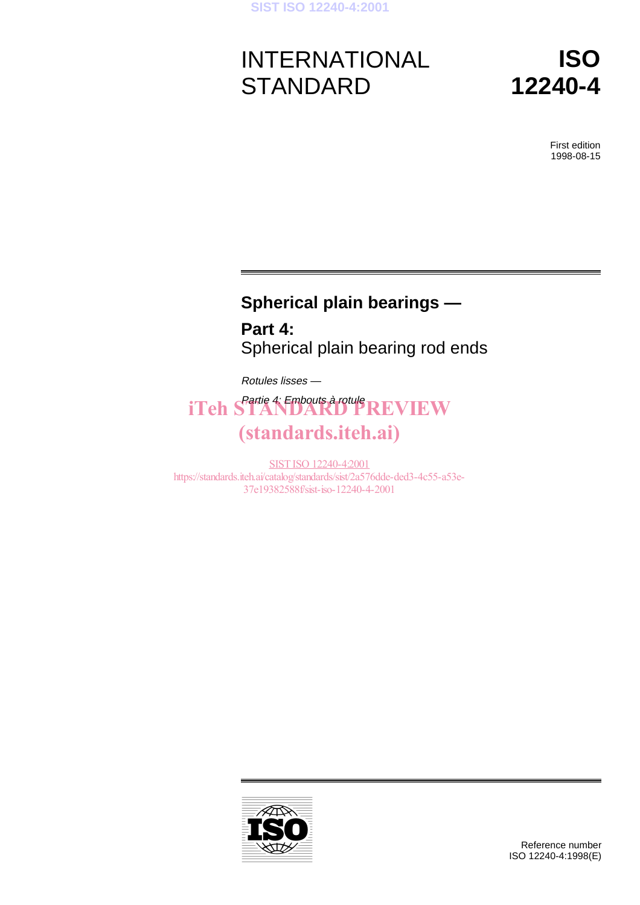# INTERNATIONAL **STANDARD**

**ISO 12240-4**

> First edition 1998-08-15

### **Spherical plain bearings —**

**Part 4:** Spherical plain bearing rod ends

Rotules lisses —

Partie 4: Embouts à rotule iTeh STANDARD PREVIEW (standards.iteh.ai)

SIST ISO 12240-4:2001 https://standards.iteh.ai/catalog/standards/sist/2a576dde-ded3-4c55-a53e-37e19382588f/sist-iso-12240-4-2001

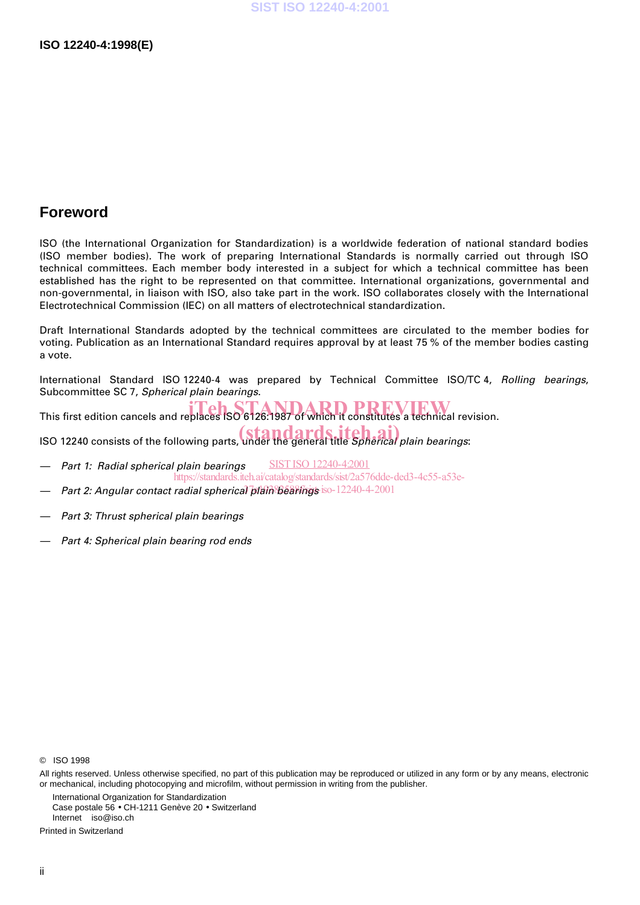#### **Foreword**

ISO (the International Organization for Standardization) is a worldwide federation of national standard bodies (ISO member bodies). The work of preparing International Standards is normally carried out through ISO technical committees. Each member body interested in a subject for which a technical committee has been established has the right to be represented on that committee. International organizations, governmental and non-governmental, in liaison with ISO, also take part in the work. ISO collaborates closely with the International Electrotechnical Commission (IEC) on all matters of electrotechnical standardization.

Draft International Standards adopted by the technical committees are circulated to the member bodies for voting. Publication as an International Standard requires approval by at least 75 % of the member bodies casting a vote.

International Standard ISO 12240-4 was prepared by Technical Committee ISO/TC 4, Rolling bearings, Subcommittee SC 7, Spherical plain bearings.

This first edition cancels and replaces ISO 6126:1987 of which it constitutes a technical revision.

ISO 12240 consists of the following parts, under the general title Spherical plain bearings:

- Part 1: Radial spherical plain bearings SIST ISO 12240-4:2001 https://standards.iteh.ai/catalog/standards/sist/2a576dde-ded3-4c55-a53e-
- —Part 2: Angular contact radial spherical plain bearings iso-12240-4-2001
- —Part 3: Thrust spherical plain bearings
- Part 4: Spherical plain bearing rod ends

© ISO 1998

International Organization for Standardization Case postale 56 • CH-1211 Genève 20 • Switzerland Internet iso@iso.ch

Printed in Switzerland

All rights reserved. Unless otherwise specified, no part of this publication may be reproduced or utilized in any form or by any means, electronic or mechanical, including photocopying and microfilm, without permission in writing from the publisher.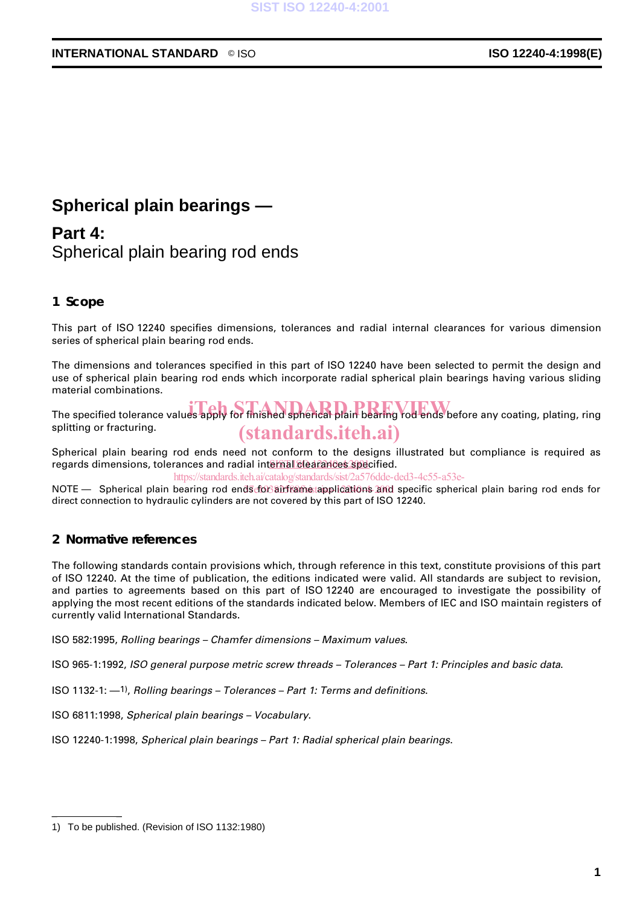### **Spherical plain bearings —**

**Part 4:** Spherical plain bearing rod ends

#### **1 Scope**

This part of ISO 12240 specifies dimensions, tolerances and radial internal clearances for various dimension series of spherical plain bearing rod ends.

The dimensions and tolerances specified in this part of ISO 12240 have been selected to permit the design and use of spherical plain bearing rod ends which incorporate radial spherical plain bearings having various sliding material combinations.

The specified tolerance values apply for finished spherical plain bearing rod ends before any coating, plating, ring splitting or fracturing. (standards.iteh.ai)

Spherical plain bearing rod ends need not conform to the designs illustrated but compliance is required as regards dimensions, tolerances and radial internal clearances specified.

https://standards.iteh.ai/catalog/standards/sist/2a576dde-ded3-4c55-a53e-

NOTE — Spherical plain bearing rod ends for airframe applications and specific spherical plain baring rod ends for direct connection to hydraulic cylinders are not covered by this part of ISO 12240.

#### **2 Normative references**

The following standards contain provisions which, through reference in this text, constitute provisions of this part of ISO 12240. At the time of publication, the editions indicated were valid. All standards are subject to revision, and parties to agreements based on this part of ISO 12240 are encouraged to investigate the possibility of applying the most recent editions of the standards indicated below. Members of IEC and ISO maintain registers of currently valid International Standards.

ISO 582:1995, Rolling bearings – Chamfer dimensions – Maximum values.

ISO 965-1:1992, ISO general purpose metric screw threads – Tolerances – Part 1: Principles and basic data.

 $ISO$  1132-1:  $-1$ , Rolling bearings – Tolerances – Part 1: Terms and definitions.

ISO 6811:1998, Spherical plain bearings – Vocabulary.

ISO 12240-1:1998, Spherical plain bearings – Part 1: Radial spherical plain bearings.

\_ \_

<sup>1)</sup> To be published. (Revision of ISO 1132:1980)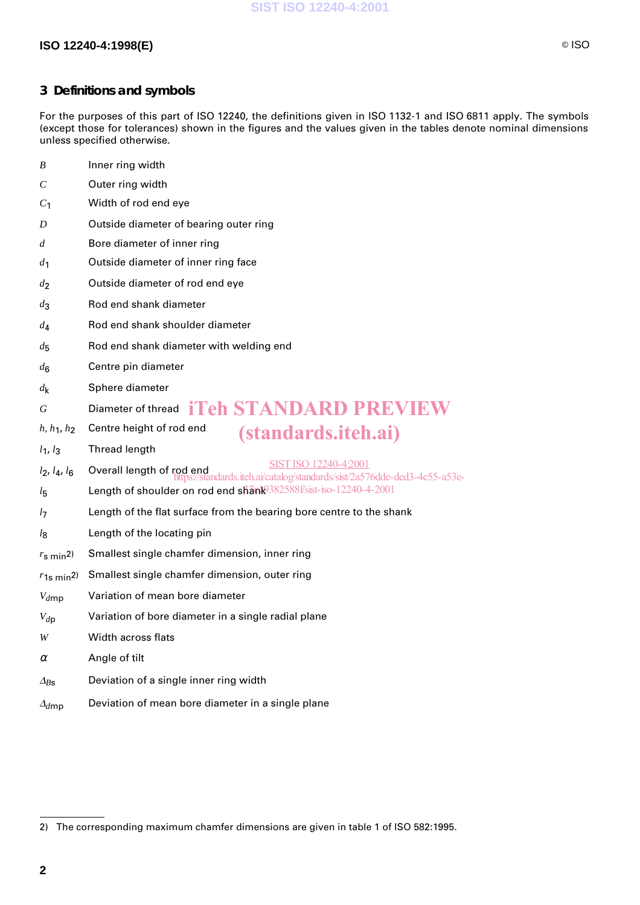#### **SIST ISO 12240-4:2001**

#### **3 Definitions and symbols**

For the purposes of this part of ISO 12240, the definitions given in ISO 1132-1 and ISO 6811 apply. The symbols (except those for tolerances) shown in the figures and the values given in the tables denote nominal dimensions unless specified otherwise.

| B                          | Inner ring width                                                                                                                |  |  |  |  |  |  |  |  |
|----------------------------|---------------------------------------------------------------------------------------------------------------------------------|--|--|--|--|--|--|--|--|
| C                          | Outer ring width                                                                                                                |  |  |  |  |  |  |  |  |
| $C_1$                      | Width of rod end eye                                                                                                            |  |  |  |  |  |  |  |  |
| D                          | Outside diameter of bearing outer ring                                                                                          |  |  |  |  |  |  |  |  |
| d                          | Bore diameter of inner ring                                                                                                     |  |  |  |  |  |  |  |  |
| $d_1$                      | Outside diameter of inner ring face                                                                                             |  |  |  |  |  |  |  |  |
| $d_{2}$                    | Outside diameter of rod end eye                                                                                                 |  |  |  |  |  |  |  |  |
| $d_3$                      | Rod end shank diameter                                                                                                          |  |  |  |  |  |  |  |  |
| $d_{\Delta}$               | Rod end shank shoulder diameter                                                                                                 |  |  |  |  |  |  |  |  |
| $d_{\mathbf{5}}$           | Rod end shank diameter with welding end                                                                                         |  |  |  |  |  |  |  |  |
| $d_{6}$                    | Centre pin diameter                                                                                                             |  |  |  |  |  |  |  |  |
| $d_{\mathbf{k}}$           | Sphere diameter                                                                                                                 |  |  |  |  |  |  |  |  |
| G                          | <b>iTeh STANDARD PREVIEW</b><br>Diameter of thread                                                                              |  |  |  |  |  |  |  |  |
| $h, h_1, h_2$              | Centre height of rod end<br><i>(standards.iteh.ai)</i>                                                                          |  |  |  |  |  |  |  |  |
| $l_1, l_3$                 | Thread length                                                                                                                   |  |  |  |  |  |  |  |  |
| $l_2$ , $l_4$ , $l_6$      | SIST ISO 12240-4:2001<br>Overall length of rod end<br>https://standards.iteh.ai/catalog/standards/sist/2a576dde-ded3-4c55-a53e- |  |  |  |  |  |  |  |  |
| $l_{\bar{5}}$              | Length of shoulder on rod end shank 382588f/sist-iso-12240-4-2001                                                               |  |  |  |  |  |  |  |  |
| l <sub>7</sub>             | Length of the flat surface from the bearing bore centre to the shank                                                            |  |  |  |  |  |  |  |  |
| $l_{\mathcal{B}}$          | Length of the locating pin                                                                                                      |  |  |  |  |  |  |  |  |
| $r_s$ min <sup>2)</sup>    | Smallest single chamfer dimension, inner ring                                                                                   |  |  |  |  |  |  |  |  |
| $r_{1s}$ min <sup>2)</sup> | Smallest single chamfer dimension, outer ring                                                                                   |  |  |  |  |  |  |  |  |
| $V_{dmp}$                  | Variation of mean bore diameter                                                                                                 |  |  |  |  |  |  |  |  |
| $V_{d\mathbf{p}}$          | Variation of bore diameter in a single radial plane                                                                             |  |  |  |  |  |  |  |  |
| W                          | Width across flats                                                                                                              |  |  |  |  |  |  |  |  |
| $\alpha$                   | Angle of tilt                                                                                                                   |  |  |  |  |  |  |  |  |
| $\Delta_{BS}$              | Deviation of a single inner ring width                                                                                          |  |  |  |  |  |  |  |  |
| $\Delta_{dmp}$             | Deviation of mean bore diameter in a single plane                                                                               |  |  |  |  |  |  |  |  |

 $\overline{a}$ 

<sup>2)</sup> The corresponding maximum chamfer dimensions are given in table 1 of ISO 582:1995.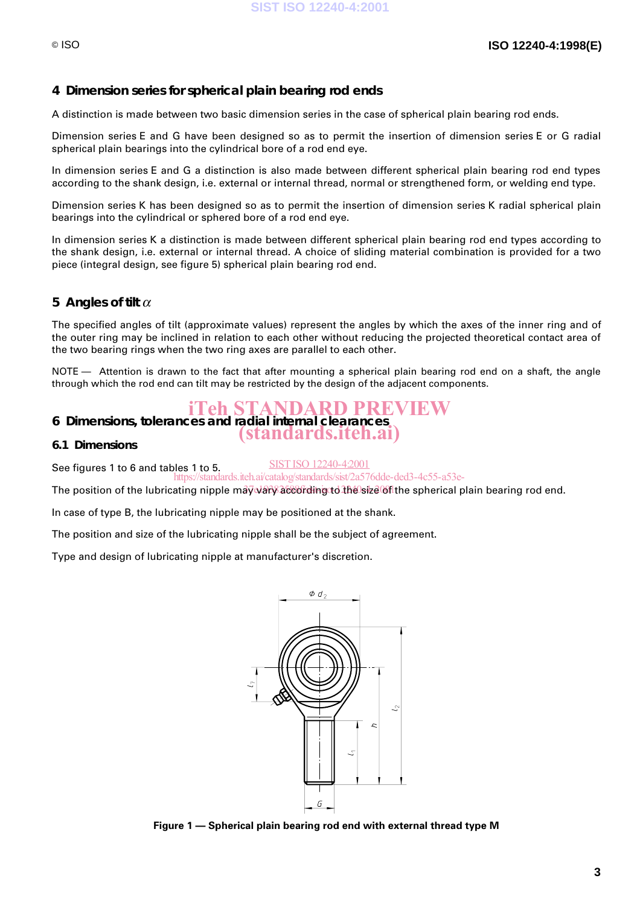#### **4 Dimension series for spherical plain bearing rod ends**

A distinction is made between two basic dimension series in the case of spherical plain bearing rod ends.

Dimension series E and G have been designed so as to permit the insertion of dimension series E or G radial spherical plain bearings into the cylindrical bore of a rod end eye.

In dimension series E and G a distinction is also made between different spherical plain bearing rod end types according to the shank design, i.e. external or internal thread, normal or strengthened form, or welding end type.

Dimension series K has been designed so as to permit the insertion of dimension series K radial spherical plain bearings into the cylindrical or sphered bore of a rod end eye.

In dimension series K a distinction is made between different spherical plain bearing rod end types according to the shank design, i.e. external or internal thread. A choice of sliding material combination is provided for a two piece (integral design, see figure 5) spherical plain bearing rod end.

#### **5 Angles of tilt** *a*

The specified angles of tilt (approximate values) represent the angles by which the axes of the inner ring and of the outer ring may be inclined in relation to each other without reducing the projected theoretical contact area of the two bearing rings when the two ring axes are parallel to each other.

NOTE — Attention is drawn to the fact that after mounting a spherical plain bearing rod end on a shaft, the angle through which the rod end can tilt may be restricted by the design of the adjacent components.

#### **6 Dimensions, tolerances and radial internal clearances** iTeh STANDARD (standards.iteh.ai)

#### **6.1 Dimensions**

See figures 1 to 6 and tables 1 to 5.

SIST ISO 12240-4:2001

https://standards.iteh.ai/catalog/standards/sist/2a576dde-ded3-4c55-a53e-

The position of the lubricating nipple may vary according to the size of the spherical plain bearing rod end.

In case of type B, the lubricating nipple may be positioned at the shank.

The position and size of the lubricating nipple shall be the subject of agreement.

Type and design of lubricating nipple at manufacturer's discretion.



**Figure 1 — Spherical plain bearing rod end with external thread type M**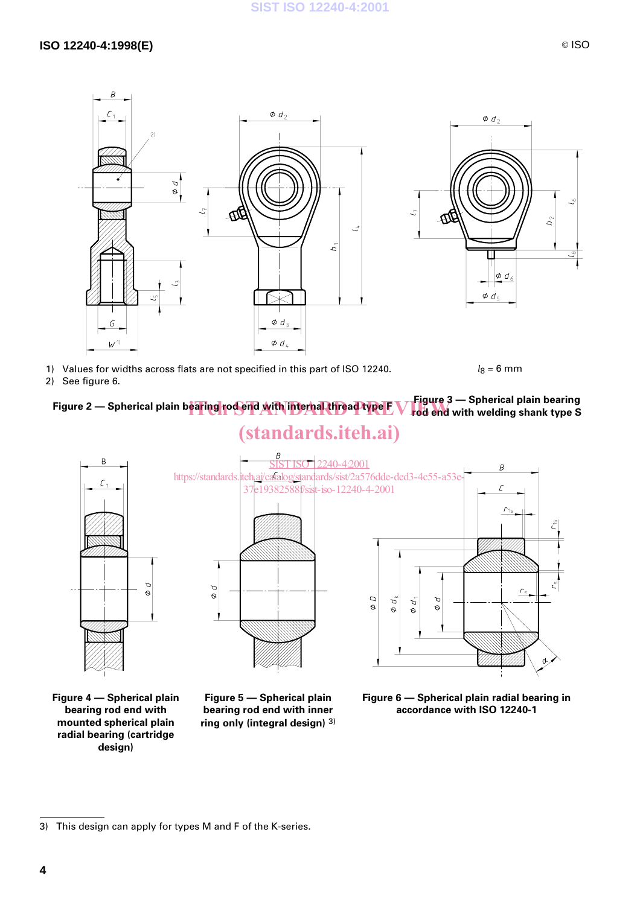

1) Values for widths across flats are not specified in this part of ISO 12240. 2) See figure 6.

 $l_8 = 6$  mm

Figure 2 — Spherical plain b<mark>earing rod end with internal thread type F</mark>  $\bf{V}$  Figure 3 — Spherical plain bearing<br>ITeh Standard Product of the School Product of Spherical Product School Product of the Shank type School P **rod end with welding shank type S**

(standards.iteh.ai)



**Figure 4 — Spherical plain bearing rod end with mounted spherical plain radial bearing (cartridge design)**

**Figure 5 — Spherical plain bearing rod end with inner ring only (integral design)** 3)



 $\overline{a}$ 

<sup>3)</sup> This design can apply for types M and F of the K-series.